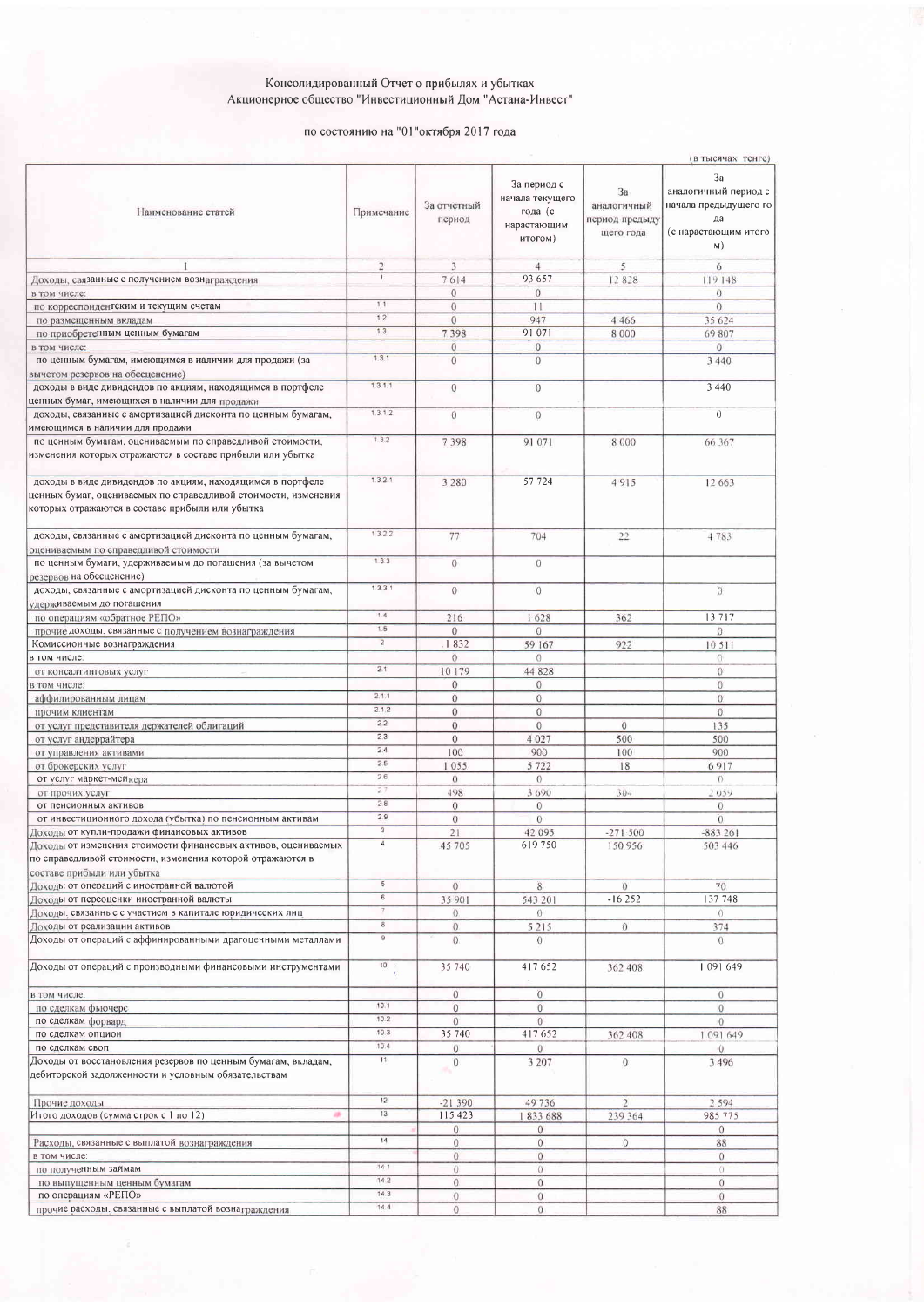## Консолидированный Отчет о прибылях и убытках<br>Акционерное общество "Инвестиционный Дом "Астана-Инвест"

## по состоянию на "01"октября 2017 года

|                                                                                                                                                                                 |                 |                       |                                                                     |                                                  | (в тысячах тенге)                                                                       |
|---------------------------------------------------------------------------------------------------------------------------------------------------------------------------------|-----------------|-----------------------|---------------------------------------------------------------------|--------------------------------------------------|-----------------------------------------------------------------------------------------|
| Наименование статей                                                                                                                                                             | Примечание      | За отчетный<br>период | За период с<br>начала текущего<br>года (с<br>нарастающим<br>итогом) | 3a<br>аналогичный<br>период предыду<br>щего года | 3a<br>аналогичный период с<br>начала предыдущего го<br>да<br>(с нарастающим итого<br>M) |
|                                                                                                                                                                                 | $\overline{2}$  | $\overline{3}$        | $\overline{4}$                                                      | 5                                                | 6                                                                                       |
| Доходы, связанные с получением вознаграждения                                                                                                                                   |                 | 7614                  | 93 657                                                              | 12828                                            | 119 148                                                                                 |
|                                                                                                                                                                                 |                 | $\circ$               | $\sigma$                                                            |                                                  |                                                                                         |
| в том числе:                                                                                                                                                                    | 1.1             |                       |                                                                     |                                                  | $\overline{0}$                                                                          |
| по корреспондентским и текущим счетам                                                                                                                                           | 1.2             | $\theta$              | 11                                                                  |                                                  | $\overline{0}$                                                                          |
| по размещенным вкладам                                                                                                                                                          |                 | $\mathbf{0}$          | 947                                                                 | 4 4 6 6                                          | 35 624                                                                                  |
| по приобретенным ценным бумагам                                                                                                                                                 | 1.3             | 7398                  | 91 071                                                              | 8 0 0 0                                          | 69 807                                                                                  |
| в том числе:                                                                                                                                                                    |                 | $\mathbf{0}$          | $\overline{0}$                                                      |                                                  | $\overline{0}$                                                                          |
| по ценным бумагам, имеющимся в наличии для продажи (за<br>вычетом резервов на обесценение)                                                                                      | 1.3.1           | $\overline{0}$        | $\overline{0}$                                                      |                                                  | 3 4 4 0                                                                                 |
| доходы в виде дивидендов по акциям, находящимся в портфеле<br>ценных бумаг, имеющихся в наличии для продажи                                                                     | 1, 3, 1, 1      | $\overline{0}$        | $\overline{0}$                                                      |                                                  | 3 4 4 0                                                                                 |
| доходы, связанные с амортизацией дисконта по ценным бумагам,<br>имеющимся в наличии для продажи                                                                                 | 1.3.1.2         | $\theta$              | $\mathbf{0}$                                                        |                                                  | $\theta$                                                                                |
| по ценным бумагам, оцениваемым по справедливой стоимости,<br>изменения которых отражаются в составе прибыли или убытка                                                          | 132             | 7 3 9 8               | 91 071                                                              | 8 0 0 0                                          | 66 367                                                                                  |
| доходы в виде дивидендов по акциям, находящимся в портфеле<br>ценных бумаг, оцениваемых по справедливой стоимости, изменения<br>которых отражаются в составе прибыли или убытка | 1.3.2.1         | 3 2 8 0               | 57 724                                                              | 4915                                             | 12 663                                                                                  |
| доходы, связанные с амортизацией дисконта по ценным бумагам,<br>оцениваемым по справедливой стоимости                                                                           | 1322            | 77                    | 704                                                                 | 22                                               | 4783                                                                                    |
| по ценным бумаги, удерживаемым до погашения (за вычетом<br>резервов на обесценение)                                                                                             | 133             | $\theta$              | Ö                                                                   |                                                  |                                                                                         |
| доходы, связанные с амортизацией дисконта по ценным бумагам,<br>удерживаемым до погашения                                                                                       | 1.3.3.1         | $\theta$              | $\theta$                                                            |                                                  | $\theta$                                                                                |
| по операциям «обратное РЕПО»                                                                                                                                                    | 1.4             | 216                   | 1628                                                                | 362                                              | 13717                                                                                   |
| прочие доходы, связанные с получением вознаграждения                                                                                                                            | 1.5             | $\mathbf{0}$          | $\mathbf 0$                                                         |                                                  | $\mathbf{0}$                                                                            |
| Комиссионные вознаграждения                                                                                                                                                     | $\overline{2}$  | 11832                 | 59 167                                                              | 922                                              | 10511                                                                                   |
| в том числе:                                                                                                                                                                    |                 | $\theta$              | $\overline{0}$                                                      |                                                  | $\Omega$                                                                                |
| от консалтинговых услуг                                                                                                                                                         | 2.1             | 10 179                | 44 828                                                              |                                                  | $\mathbf{0}$                                                                            |
| в том числе:                                                                                                                                                                    |                 | $\mathbf{0}$          | $\overline{0}$                                                      |                                                  | $\theta$                                                                                |
| аффилированным лицам                                                                                                                                                            | 2.1.1           | $\overline{0}$        | $\overline{0}$                                                      |                                                  | $\overline{0}$                                                                          |
|                                                                                                                                                                                 | 2.1.2           | $\overline{0}$        | $\overline{0}$                                                      |                                                  | $\mathbf{0}$                                                                            |
| прочим клиентам                                                                                                                                                                 | 2.2             |                       |                                                                     |                                                  |                                                                                         |
| от услуг представителя держателей облигаций                                                                                                                                     | 2.3             | $\boldsymbol{0}$      | $\bf{0}$                                                            | $\overline{0}$                                   | 135                                                                                     |
| от услуг андеррайтера                                                                                                                                                           | 2.4             | $\overline{0}$        | 4 0 2 7                                                             | 500                                              | 500                                                                                     |
| от управления активами                                                                                                                                                          |                 | 100                   | 900                                                                 | 100                                              | 900                                                                                     |
| от брокерских услуг                                                                                                                                                             | 2.5             | 1055                  | 5 7 2 2                                                             | 18                                               | 6917                                                                                    |
| от услуг маркет-мейкера                                                                                                                                                         | 26              | $\overline{0}$        | $\odot$                                                             |                                                  | $\Omega$                                                                                |
| от прочих услуг                                                                                                                                                                 | 27              | 498                   | 3 6 9 0                                                             | 304                                              | 2059                                                                                    |
| от пенсионных активов                                                                                                                                                           | 2.8             | $\theta$              | $\overline{0}$                                                      |                                                  | $\overline{0}$                                                                          |
| от инвестиционного дохода (убытка) по пенсионным активам                                                                                                                        | 2.9             | $\boldsymbol{0}$      | $\overline{0}$                                                      |                                                  | $\Omega$                                                                                |
| Доходы от купли-продажи финансовых активов                                                                                                                                      | $\overline{3}$  | 21                    | 42 095                                                              | $-271500$                                        | $-883261$                                                                               |
| Доходы от изменения стоимости финансовых активов, оцениваемых<br>по справедливой стоимости, изменения которой отражаются в<br>составе прибыли или убытка                        | $\overline{A}$  | 45 705                | 619750                                                              | 150 956                                          | 503 446                                                                                 |
| Доходы от операций с иностранной валютой                                                                                                                                        | $\overline{5}$  | $\theta$              | 8                                                                   | $\theta$                                         | 70                                                                                      |
| Доходы от переоценки иностранной валюты                                                                                                                                         | $\overline{6}$  | 35 901                | 543 201                                                             | $-16252$                                         | 137 748                                                                                 |
| Доходы, связанные с участием в капитале юридических лиц                                                                                                                         |                 | $\theta$              | $\Omega$                                                            |                                                  | $\Omega$                                                                                |
| Доходы от реализации активов                                                                                                                                                    | $^{\rm a}$      | $\overline{0}$        | 5215                                                                | $\theta$                                         | 374                                                                                     |
| Доходы от операций с аффинированными драгоценными металлами                                                                                                                     | $^{\circ}$      | $\Omega$              | $\Omega$                                                            |                                                  | $\Omega$                                                                                |
| Доходы от операций с производными финансовыми инструментами                                                                                                                     | 10 <sub>1</sub> | 35 740                | 417652                                                              | 362 408                                          | 1091649                                                                                 |
| в том числе:                                                                                                                                                                    |                 | $\overline{0}$        | $\overline{0}$                                                      |                                                  | $\overline{0}$                                                                          |
| по сделкам фьючерс                                                                                                                                                              | 10.1            | $\overline{0}$        | $\overline{0}$                                                      |                                                  | $\mathbf 0$                                                                             |
| по сделкам форвард                                                                                                                                                              | 10.2            | $\mathbf{0}$          | $\overline{0}$                                                      |                                                  | $\overline{0}$                                                                          |
| по сделкам опцион                                                                                                                                                               | 10.3            | 35 740                | 417652                                                              | 362 408                                          | 1 091 649                                                                               |
| по сделкам своп                                                                                                                                                                 | 10.4            | $\overline{O}$        | $\overline{0}$                                                      |                                                  | $\cup$                                                                                  |
| Доходы от восстановления резервов по ценным бумагам, вкладам,<br>дебиторской задолженности и условным обязательствам                                                            | 11              | $\boldsymbol{0}$      | 3 207                                                               | $\mathbf{0}$                                     | 3 4 9 6                                                                                 |
| Прочие доходы                                                                                                                                                                   | 12              | $-21390$              | 49736                                                               | $\overline{2}$                                   | 2 5 9 4                                                                                 |
| 冰<br>Итого доходов (сумма строк с 1 по 12)                                                                                                                                      | 13              | 115 423               | 1833688                                                             | 239 364                                          | 985 775                                                                                 |
|                                                                                                                                                                                 |                 | $\boldsymbol{0}$      | $\mathbf{0}$                                                        |                                                  | $\mathbf{0}$                                                                            |
| Расходы, связанные с выплатой вознаграждения                                                                                                                                    | 14              | $\mathbf{0}$          | $\mathbf{0}$                                                        | $\mathbf{0}$                                     | 88                                                                                      |
| в том числе:                                                                                                                                                                    |                 | $\overline{0}$        | $\overline{0}$                                                      |                                                  | $\overline{0}$                                                                          |
| по полученным займам                                                                                                                                                            | 14.1            | $\Omega$              | $\Omega$                                                            |                                                  | $\alpha$                                                                                |
| по выпущенным ценным бумагам                                                                                                                                                    | 14.2            | $\boldsymbol{0}$      | $\mathbf{0}$                                                        |                                                  | $\sigma$                                                                                |
| по операциям «РЕПО»                                                                                                                                                             | 14.3            | $\mathbf{0}$          | $\overline{0}$                                                      |                                                  | $\theta$                                                                                |
| прочие расходы, связанные с выплатой вознаграждения                                                                                                                             | 14.4            | $\mathbf{0}$          | $\Omega$                                                            |                                                  | 88                                                                                      |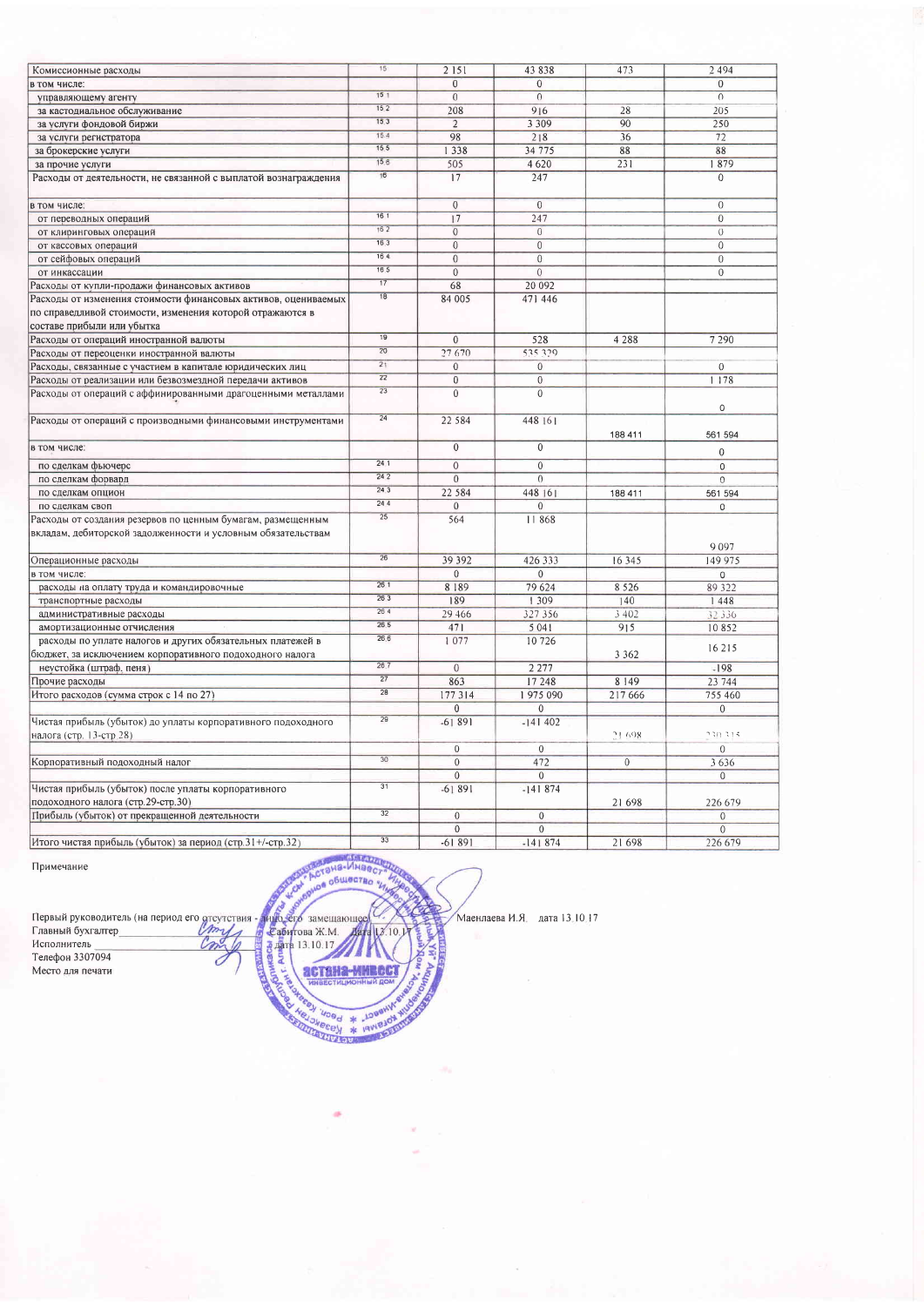| Комиссионные расходы                                            | 15              | 2 1 5 1                        | 43838                          | 473            | 2 4 9 4                   |
|-----------------------------------------------------------------|-----------------|--------------------------------|--------------------------------|----------------|---------------------------|
|                                                                 |                 | $\overline{0}$                 | $\overline{0}$                 |                | $\overline{0}$            |
| в том числе:                                                    | 15 <sub>1</sub> | $\overline{0}$                 | $\overline{0}$                 |                | $\overline{0}$            |
| управляющему агенту                                             | 152             |                                |                                |                |                           |
| за кастодиальное обслуживание                                   | 153             | 208                            | 916                            | 28             | 205                       |
| за услуги фондовой биржи                                        | 15.4            | $\overline{2}$                 | 3 3 0 9                        | 90             | 250                       |
| за услуги регистратора                                          | 15 <sub>5</sub> | 98                             | 218                            | 36             | 72                        |
| за брокерские услуги                                            | 15.6            | 1338                           | 34 7 7 5                       | 88             | 88                        |
| за прочие услуги                                                | $\overline{16}$ | 505                            | 4620                           | 231            | 1879                      |
| Расходы от деятельности, не связанной с выплатой вознаграждения |                 | 17                             | 247                            |                | $\Omega$                  |
| в том числе:                                                    |                 | $\overline{0}$                 | $\overline{0}$                 |                | $\overline{0}$            |
| от переводных операций                                          | 16 <sub>1</sub> | 17                             | 247                            |                | $\overline{0}$            |
| от клиринговых операций                                         | 162             | $\overline{0}$                 | $\overline{0}$                 |                | $\overline{0}$            |
| от кассовых операций                                            | 163             | $\Omega$                       | $\boldsymbol{0}$               |                | $\Omega$                  |
| от сейфовых операций                                            | 16.4            | $\overline{0}$                 | $\boldsymbol{0}$               |                | $\overline{0}$            |
| от инкассации                                                   | 16.5            | $\mathbf{0}$                   | $\boldsymbol{0}$               |                | $\mathbf{0}$              |
| Расходы от купли-продажи финансовых активов                     | $\overline{17}$ | 68                             | 20 092                         |                |                           |
| Расходы от изменения стоимости финансовых активов, оцениваемых  | 18              | 84 005                         | 471 446                        |                |                           |
| по справедливой стоимости, изменения которой отражаются в       |                 |                                |                                |                |                           |
| составе прибыли или убытка                                      |                 |                                |                                |                |                           |
| Расходы от операций иностранной валюты                          | 19              | $\Omega$                       | 528                            | 4 2 8 8        | 7 2 9 0                   |
| Расходы от переоценки иностранной валюты                        | $\overline{20}$ | 27 670                         | 535.329                        |                |                           |
| Расходы, связанные с участием в капитале юридических лиц        | $\overline{21}$ | $\overline{0}$                 | $\mathbf{0}$                   |                | $\mathbf{0}$              |
| Расходы от реализации или безвозмездной передачи активов        | $\overline{22}$ | $\overline{0}$                 | $\overline{0}$                 |                | 1178                      |
| Расходы от операций с аффинированными драгоценными металлами    | $\overline{23}$ | $\overline{0}$                 | $\overline{0}$                 |                |                           |
|                                                                 |                 |                                |                                |                | $\mathsf 0$               |
| Расходы от операций с производными финансовыми инструментами    | $\overline{24}$ | 22 5 8 4                       | 448 161                        |                | 561 594                   |
| в том числе:                                                    |                 | $\overline{0}$                 | $\overline{0}$                 | 188 411        |                           |
|                                                                 |                 |                                |                                |                | $\mathbf{0}$              |
| по сделкам фьючерс                                              | 24.1            | $\overline{0}$                 | $\boldsymbol{0}$               |                | $\mathbf{0}$              |
| по сделкам форвард                                              | 242             | $\overline{0}$                 | $\theta$                       |                | $\Omega$                  |
| по сделкам опцион                                               | 243             | 22 5 8 4                       | 448 161                        | 188 411        | 561 594                   |
| по сделкам своп                                                 | 244             | $\overline{0}$                 | $\theta$                       |                | $\Omega$                  |
| Расходы от создания резервов по ценным бумагам, размещенным     | $\overline{25}$ | 564                            | 11868                          |                |                           |
| вкладам, дебиторской задолженности и условным обязательствам    |                 |                                |                                |                | 9097                      |
| Операционные расходы                                            | $\overline{26}$ | 39 392                         | 426 333                        | 16 3 4 5       | 149 975                   |
| в том числе:                                                    |                 | $\overline{0}$                 | $\mathbf{0}$                   |                | $\Omega$                  |
| расходы на оплату труда и командировочные                       | 261             | 8189                           | 79 624                         | 8 5 2 6        | 89 322                    |
| транспортные расходы                                            | 263             | 189                            | 309                            | 140            | 1448                      |
| административные расходы                                        | 264             | 29 4 6 6                       | 327 356                        | 3 402          | 32 336                    |
| амортизационные отчисления                                      | 265             | 471                            | 5 0 4 1                        | 915            | 10852                     |
| расходы по уплате налогов и других обязательных платежей в      | 26.6            | 1077                           | 10726                          |                |                           |
| бюджет, за исключением корпоративного подоходного налога        |                 |                                |                                | 3 3 6 2        | 16215                     |
| неустойка (штраф, пеня)                                         | 26.7            | $\overline{0}$                 | 2 2 7 7                        |                | $-198$                    |
| Прочие расходы                                                  | $\overline{27}$ | 863                            | 17 248                         | 8 1 4 9        | 23 744                    |
| Итого расходов (сумма строк с 14 по 27)                         | $\overline{28}$ | 177314                         | 1975090                        | 217 666        | 755 460                   |
|                                                                 |                 | $\overline{0}$                 | $\overline{0}$                 |                | $\overline{0}$            |
| Чистая прибыль (убыток) до уплаты корпоративного подоходного    | $\overline{29}$ | $-61891$                       | $-141402$                      |                |                           |
| налога (стр. 13-стр. 28)                                        |                 |                                |                                | 21.698         | 230.315                   |
|                                                                 |                 | $\mathbf{0}$                   | $\mathbf{0}$                   |                | $\mathbf{0}$              |
| Корпоративный подоходный налог                                  | 30              | $\overline{0}$                 | 472                            | $\overline{0}$ | 3636                      |
|                                                                 |                 | $\mathbf{0}$                   | $\overline{0}$                 |                |                           |
|                                                                 | 31              | $-61891$                       | $-141874$                      |                | $\mathbf{0}$              |
| Чистая прибыль (убыток) после уплаты корпоративного             |                 |                                |                                |                |                           |
| подоходного налога (стр.29-стр.30)                              | $\overline{32}$ |                                |                                | 21 698         | 226 679                   |
| Прибыль (убыток) от прекращенной деятельности                   |                 | $\overline{0}$<br>$\mathbf{0}$ | $\overline{0}$<br>$\mathbf{0}$ |                | $\mathbf{0}$              |
| Итого чистая прибыль (убыток) за период (стр. 31+/-стр. 32)     | $\overline{33}$ | $-61891$                       | $-141874$                      |                | $\overline{0}$<br>226.679 |
|                                                                 |                 |                                |                                | 21 698         |                           |

 $13.10$ астана-имвес

MOTOR OBULSTER HA

Co Herby Wood \* Jogen

Маенлаева И.Я. дата 13.10.17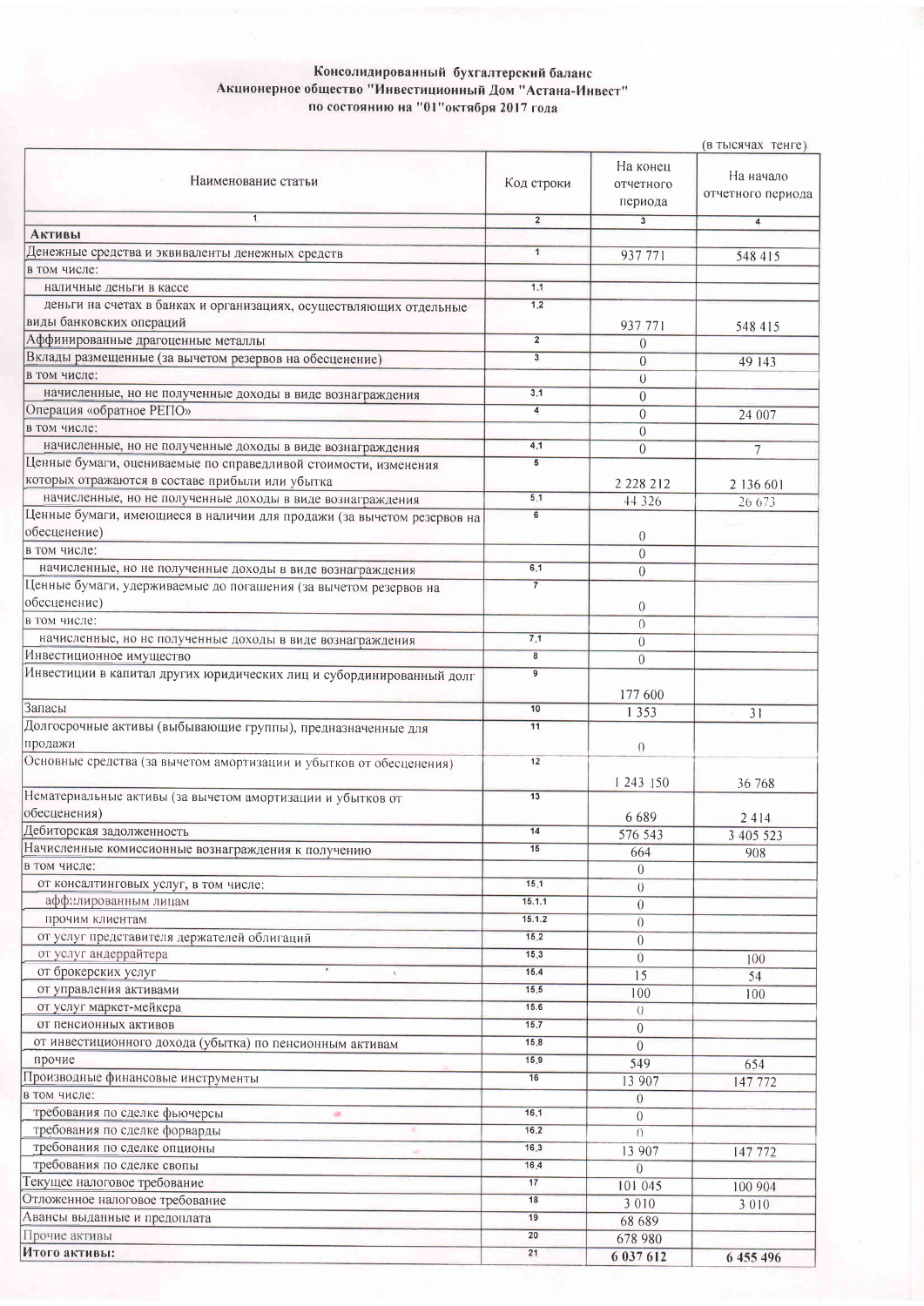## Консолидированный бухгалтерский баланс<br>Акционерное общество "Инвестиционный Дом "Астана-Инвест"<br>по состоянию на "01"октября 2017 года

|                                                                        |                             |                                  | (в тысячах тенге)              |
|------------------------------------------------------------------------|-----------------------------|----------------------------------|--------------------------------|
| Наименование статьи                                                    | Код строки                  | На конец<br>отчетного<br>периода | На начало<br>отчетного периода |
| $\overline{1}$                                                         | $\overline{2}$              | $\overline{\mathbf{3}}$          | $\overline{4}$                 |
| <b>Активы</b>                                                          |                             |                                  |                                |
| Денежные средства и эквиваленты денежных средств                       | $\overline{1}$              | 937 771                          | 548 415                        |
| в том числе:                                                           |                             |                                  |                                |
| наличные деньги в кассе                                                | 1.1                         |                                  |                                |
| деньги на счетах в банках и организациях, осуществляющих отдельные     | 1.2                         |                                  |                                |
| виды банковских операций                                               |                             | 937 771                          | 548 415                        |
| Аффинированные драгоценные металлы                                     | $\overline{2}$              | $\theta$                         |                                |
| Вклады размещенные (за вычетом резервов на обесценение)                | $\overline{\mathbf{3}}$     | 0                                | 49 143                         |
| в том числе:                                                           |                             | $\theta$                         |                                |
| начисленные, но не полученные доходы в виде вознаграждения             | 3.1                         | $\boldsymbol{0}$                 |                                |
| Операция «обратное РЕПО»                                               | $\overline{4}$              | $\overline{0}$                   | 24 007                         |
| в том числе:                                                           |                             | $\theta$                         |                                |
| начисленные, но не полученные доходы в виде вознаграждения             | 4.1                         | $\overline{0}$                   | $\overline{7}$                 |
| Ценные бумаги, оцениваемые по справедливой стоимости, изменения        | 5                           |                                  |                                |
| которых отражаются в составе прибыли или убытка                        |                             | 2 2 2 8 2 1 2                    | 2 136 601                      |
| начисленные, но не полученные доходы в виде вознаграждения             | 5.1                         | 44 3 2 6                         | 26 673                         |
| Ценные бумаги, имеющиеся в наличии для продажи (за вычетом резервов на | 6                           |                                  |                                |
| обесценение)                                                           |                             | $\theta$                         |                                |
| в том числе:                                                           |                             | $\overline{0}$                   |                                |
| начисленные, но не полученные доходы в виде вознаграждения             | 6.1                         | $\overline{0}$                   |                                |
| Ценные бумаги, удерживаемые до погашения (за вычетом резервов на       | $\overline{7}$              |                                  |                                |
| обесценение)                                                           |                             | $\theta$                         |                                |
| в том числе:                                                           | 7.1                         | $\Omega$                         |                                |
| начисленные, но не полученные доходы в виде вознаграждения             |                             | $\theta$                         |                                |
| Инвестиционное имущество                                               | $\pmb{8}$<br>$\overline{9}$ | $\theta$                         |                                |
| Инвестиции в капитал других юридических лиц и субординированный долг   |                             | 177 600                          |                                |
| Запасы                                                                 | 10                          | 1 3 5 3                          | 31                             |
| Долгосрочные активы (выбывающие группы), предназначенные для           | 11                          |                                  |                                |
| продажи                                                                |                             | $\left( \right)$                 |                                |
| Основные средства (за вычетом амортизации и убытков от обесценения)    | 12                          | 1 243 150                        | 36 768                         |
| Нематериальные активы (за вычетом амортизации и убытков от             | 13                          |                                  |                                |
| обесценения)                                                           |                             | 6689                             | 2414                           |
| Дебиторская задолженность                                              | 14                          | 576 543                          | 3 405 523                      |
| Начисленные комиссионные вознаграждения к получению                    | 15                          | 664                              | 908                            |
| в том числе:                                                           |                             | $\Omega$                         |                                |
| от консалтинговых услуг, в том числе:                                  | 15.1                        | $\overline{0}$                   |                                |
| аффилированным лицам                                                   | 15.1.1                      | $\theta$                         |                                |
| прочим клиентам                                                        | 15.1.2                      | $\theta$                         |                                |
| от услуг представителя держателей облигаций                            | 15.2                        | $\theta$                         |                                |
| от услуг андеррайтера                                                  | 15.3                        | $\theta$                         | 100                            |
| от брокерских услуг                                                    | 15.4                        | 15                               | 54                             |
| от управления активами                                                 | 15.5                        | 100                              | 100                            |
| от услуг маркет-мейкера                                                | 15.6                        | $\overline{0}$                   |                                |
| от пенсионных активов                                                  | 15.7                        | $\overline{0}$                   |                                |
| от инвестиционного дохода (убытка) по пенсионным активам               | 15.8                        | $\overline{0}$                   |                                |
| прочие                                                                 | 15.9                        | 549                              | 654                            |
| Производные финансовые инструменты                                     | 16                          | 13 907                           | 147 772                        |
| в том числе:                                                           |                             | $\theta$                         |                                |
| требования по сделке фьючерсы<br>冻                                     | 16.1                        | $\theta$                         |                                |
| требования по сделке форварды                                          | 16.2                        | $\bigcap$                        |                                |
| требования по сделке опционы                                           | 16.3                        | 13 907                           | 147 772                        |
| требования по сделке свопы                                             | 16.4                        | $\Omega$                         |                                |
| Текущее налоговое требование                                           | 17                          | 101 045                          | 100 904                        |
| Отложенное налоговое требование                                        | 18                          | 3 0 1 0                          | 3 0 1 0                        |
| Авансы выданные и предоплата                                           | 19                          | 68 689                           |                                |
| Прочие активы                                                          | 20                          | 678 980                          |                                |
| Итого активы:                                                          | 21                          | 6 037 612                        | 6 455 496                      |